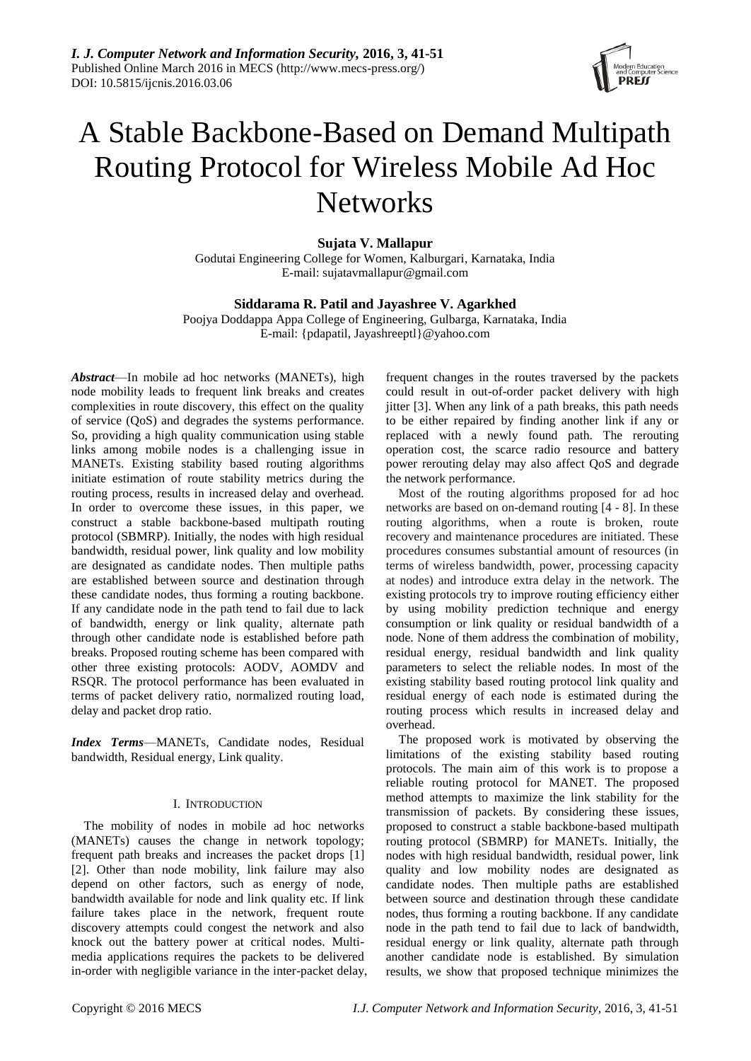

# A Stable Backbone-Based on Demand Multipath Routing Protocol for Wireless Mobile Ad Hoc **Networks**

**Sujata V. Mallapur**

Godutai Engineering College for Women, Kalburgari, Karnataka, India E-mail: sujatavmallapur@gmail.com

# **Siddarama R. Patil and Jayashree V. Agarkhed**

Poojya Doddappa Appa College of Engineering, Gulbarga, Karnataka, India E-mail: {pdapatil, Jayashreeptl}@yahoo.com

*Abstract*—In mobile ad hoc networks (MANETs), high node mobility leads to frequent link breaks and creates complexities in route discovery, this effect on the quality of service (QoS) and degrades the systems performance. So, providing a high quality communication using stable links among mobile nodes is a challenging issue in MANETs. Existing stability based routing algorithms initiate estimation of route stability metrics during the routing process, results in increased delay and overhead. In order to overcome these issues, in this paper, we construct a stable backbone-based multipath routing protocol (SBMRP). Initially, the nodes with high residual bandwidth, residual power, link quality and low mobility are designated as candidate nodes. Then multiple paths are established between source and destination through these candidate nodes, thus forming a routing backbone. If any candidate node in the path tend to fail due to lack of bandwidth, energy or link quality, alternate path through other candidate node is established before path breaks. Proposed routing scheme has been compared with other three existing protocols: AODV, AOMDV and RSQR. The protocol performance has been evaluated in terms of packet delivery ratio, normalized routing load, delay and packet drop ratio.

*Index Terms*—MANETs, Candidate nodes, Residual bandwidth, Residual energy, Link quality.

# I. INTRODUCTION

The mobility of nodes in mobile ad hoc networks (MANETs) causes the change in network topology; frequent path breaks and increases the packet drops [1] [2]. Other than node mobility, link failure may also depend on other factors, such as energy of node, bandwidth available for node and link quality etc. If link failure takes place in the network, frequent route discovery attempts could congest the network and also knock out the battery power at critical nodes. Multimedia applications requires the packets to be delivered in-order with negligible variance in the inter-packet delay, frequent changes in the routes traversed by the packets could result in out-of-order packet delivery with high jitter [3]. When any link of a path breaks, this path needs to be either repaired by finding another link if any or replaced with a newly found path. The rerouting operation cost, the scarce radio resource and battery power rerouting delay may also affect QoS and degrade the network performance.

Most of the routing algorithms proposed for ad hoc networks are based on on-demand routing [4 - 8]. In these routing algorithms, when a route is broken, route recovery and maintenance procedures are initiated. These procedures consumes substantial amount of resources (in terms of wireless bandwidth, power, processing capacity at nodes) and introduce extra delay in the network. The existing protocols try to improve routing efficiency either by using mobility prediction technique and energy consumption or link quality or residual bandwidth of a node. None of them address the combination of mobility, residual energy, residual bandwidth and link quality parameters to select the reliable nodes. In most of the existing stability based routing protocol link quality and residual energy of each node is estimated during the routing process which results in increased delay and overhead.

The proposed work is motivated by observing the limitations of the existing stability based routing protocols. The main aim of this work is to propose a reliable routing protocol for MANET. The proposed method attempts to maximize the link stability for the transmission of packets. By considering these issues, proposed to construct a stable backbone-based multipath routing protocol (SBMRP) for MANETs. Initially, the nodes with high residual bandwidth, residual power, link quality and low mobility nodes are designated as candidate nodes. Then multiple paths are established between source and destination through these candidate nodes, thus forming a routing backbone. If any candidate node in the path tend to fail due to lack of bandwidth, residual energy or link quality, alternate path through another candidate node is established. By simulation results, we show that proposed technique minimizes the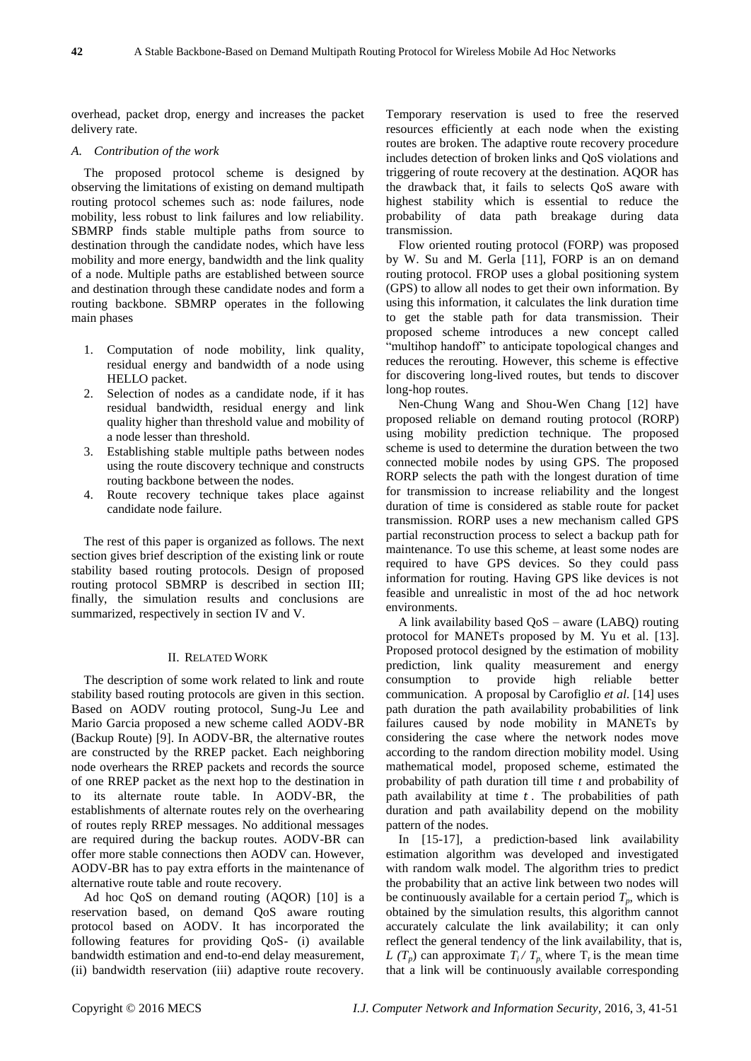overhead, packet drop, energy and increases the packet delivery rate.

# *A. Contribution of the work*

The proposed protocol scheme is designed by observing the limitations of existing on demand multipath routing protocol schemes such as: node failures, node mobility, less robust to link failures and low reliability. SBMRP finds stable multiple paths from source to destination through the candidate nodes, which have less mobility and more energy, bandwidth and the link quality of a node. Multiple paths are established between source and destination through these candidate nodes and form a routing backbone. SBMRP operates in the following main phases

- 1. Computation of node mobility, link quality, residual energy and bandwidth of a node using HELLO packet.
- 2. Selection of nodes as a candidate node, if it has residual bandwidth, residual energy and link quality higher than threshold value and mobility of a node lesser than threshold.
- 3. Establishing stable multiple paths between nodes using the route discovery technique and constructs routing backbone between the nodes.
- 4. Route recovery technique takes place against candidate node failure.

The rest of this paper is organized as follows. The next section gives brief description of the existing link or route stability based routing protocols. Design of proposed routing protocol SBMRP is described in section III; finally, the simulation results and conclusions are summarized, respectively in section IV and V.

#### II. RELATED WORK

The description of some work related to link and route stability based routing protocols are given in this section. Based on AODV routing protocol, Sung-Ju Lee and Mario Garcia proposed a new scheme called AODV-BR (Backup Route) [9]. In AODV-BR, the alternative routes are constructed by the RREP packet. Each neighboring node overhears the RREP packets and records the source of one RREP packet as the next hop to the destination in to its alternate route table. In AODV-BR, the establishments of alternate routes rely on the overhearing of routes reply RREP messages. No additional messages are required during the backup routes. AODV-BR can offer more stable connections then AODV can. However, AODV-BR has to pay extra efforts in the maintenance of alternative route table and route recovery.

Ad hoc QoS on demand routing (AQOR) [10] is a reservation based, on demand QoS aware routing protocol based on AODV. It has incorporated the following features for providing QoS- (i) available bandwidth estimation and end-to-end delay measurement, (ii) bandwidth reservation (iii) adaptive route recovery.

Temporary reservation is used to free the reserved resources efficiently at each node when the existing routes are broken. The adaptive route recovery procedure includes detection of broken links and QoS violations and triggering of route recovery at the destination. AQOR has the drawback that, it fails to selects QoS aware with highest stability which is essential to reduce the probability of data path breakage during data transmission.

Flow oriented routing protocol (FORP) was proposed by W. Su and M. Gerla [11], FORP is an on demand routing protocol. FROP uses a global positioning system (GPS) to allow all nodes to get their own information. By using this information, it calculates the link duration time to get the stable path for data transmission. Their proposed scheme introduces a new concept called "multihop handoff" to anticipate topological changes and reduces the rerouting. However, this scheme is effective for discovering long-lived routes, but tends to discover long-hop routes.

Nen-Chung Wang and Shou-Wen Chang [12] have proposed reliable on demand routing protocol (RORP) using mobility prediction technique. The proposed scheme is used to determine the duration between the two connected mobile nodes by using GPS. The proposed RORP selects the path with the longest duration of time for transmission to increase reliability and the longest duration of time is considered as stable route for packet transmission. RORP uses a new mechanism called GPS partial reconstruction process to select a backup path for maintenance. To use this scheme, at least some nodes are required to have GPS devices. So they could pass information for routing. Having GPS like devices is not feasible and unrealistic in most of the ad hoc network environments.

A link availability based QoS – aware (LABQ) routing protocol for MANETs proposed by M. Yu et al. [13]. Proposed protocol designed by the estimation of mobility prediction, link quality measurement and energy consumption to provide high reliable better communication. A proposal by Carofiglio *et al*. [14] uses path duration the path availability probabilities of link failures caused by node mobility in MANETs by considering the case where the network nodes move according to the random direction mobility model. Using mathematical model, proposed scheme, estimated the probability of path duration till time *t* and probability of path availability at time  $t$ . The probabilities of path duration and path availability depend on the mobility pattern of the nodes.

In [15-17], a prediction-based link availability estimation algorithm was developed and investigated with random walk model. The algorithm tries to predict the probability that an active link between two nodes will be continuously available for a certain period  $T_p$ , which is obtained by the simulation results, this algorithm cannot accurately calculate the link availability; it can only reflect the general tendency of the link availability, that is*, L* ( $T_p$ ) can approximate  $T_i / T_p$ , where  $T_r$  is the mean time that a link will be continuously available corresponding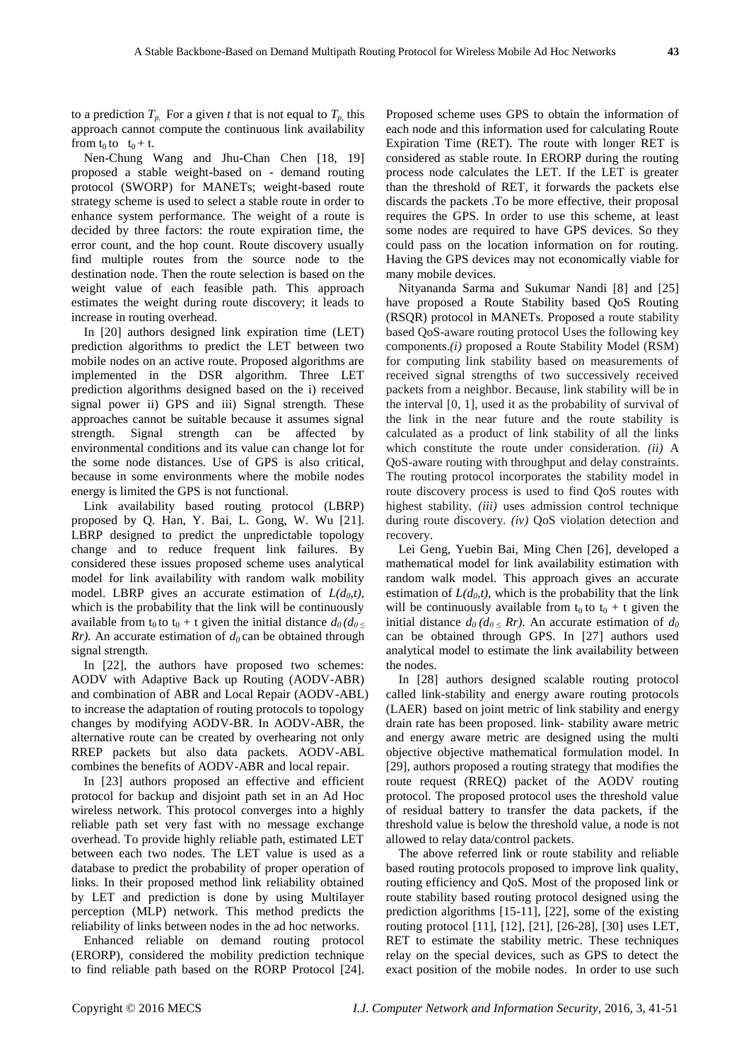to a prediction  $T_p$ . For a given *t* that is not equal to  $T_p$ , this approach cannot compute the continuous link availability from  $t_0$  to  $t_0 + t$ .

Nen-Chung Wang and Jhu-Chan Chen [18, 19] proposed a stable weight-based on - demand routing protocol (SWORP) for MANETs; weight-based route strategy scheme is used to select a stable route in order to enhance system performance. The weight of a route is decided by three factors: the route expiration time, the error count, and the hop count. Route discovery usually find multiple routes from the source node to the destination node. Then the route selection is based on the weight value of each feasible path. This approach estimates the weight during route discovery; it leads to increase in routing overhead.

In [20] authors designed link expiration time (LET) prediction algorithms to predict the LET between two mobile nodes on an active route. Proposed algorithms are implemented in the DSR algorithm. Three LET prediction algorithms designed based on the i) received signal power ii) GPS and iii) Signal strength. These approaches cannot be suitable because it assumes signal strength. Signal strength can be affected by environmental conditions and its value can change lot for the some node distances. Use of GPS is also critical, because in some environments where the mobile nodes energy is limited the GPS is not functional.

Link availability based routing protocol (LBRP) proposed by Q. Han, Y. Bai, L. Gong, W. Wu [21]. LBRP designed to predict the unpredictable topology change and to reduce frequent link failures. By considered these issues proposed scheme uses analytical model for link availability with random walk mobility model. LBRP gives an accurate estimation of  $L(d_0,t)$ , which is the probability that the link will be continuously available from  $t_0$  to  $t_0 + t$  given the initial distance  $d_0/d_0 <$ *Rr*). An accurate estimation of  $d_0$  can be obtained through signal strength.

In [22], the authors have proposed two schemes: AODV with Adaptive Back up Routing (AODV-ABR) and combination of ABR and Local Repair (AODV-ABL) to increase the adaptation of routing protocols to topology changes by modifying AODV-BR. In AODV-ABR, the alternative route can be created by overhearing not only RREP packets but also data packets. AODV-ABL combines the benefits of AODV-ABR and local repair.

In [23] authors proposed an effective and efficient protocol for backup and disjoint path set in an Ad Hoc wireless network. This protocol converges into a highly reliable path set very fast with no message exchange overhead. To provide highly reliable path, estimated LET between each two nodes. The LET value is used as a database to predict the probability of proper operation of links. In their proposed method link reliability obtained by LET and prediction is done by using Multilayer perception (MLP) network. This method predicts the reliability of links between nodes in the ad hoc networks.

Enhanced reliable on demand routing protocol (ERORP), considered the mobility prediction technique to find reliable path based on the RORP Protocol [24]. Proposed scheme uses GPS to obtain the information of each node and this information used for calculating Route Expiration Time (RET). The route with longer RET is considered as stable route. In ERORP during the routing process node calculates the LET. If the LET is greater than the threshold of RET, it forwards the packets else discards the packets .To be more effective, their proposal requires the GPS. In order to use this scheme, at least some nodes are required to have GPS devices. So they could pass on the location information on for routing. Having the GPS devices may not economically viable for many mobile devices.

Nityananda Sarma and Sukumar Nandi [8] and [25] have proposed a Route Stability based QoS Routing (RSQR) protocol in MANETs. Proposed a route stability based QoS-aware routing protocol Uses the following key components.*(i)* proposed a Route Stability Model (RSM) for computing link stability based on measurements of received signal strengths of two successively received packets from a neighbor. Because, link stability will be in the interval [0*,* 1], used it as the probability of survival of the link in the near future and the route stability is calculated as a product of link stability of all the links which constitute the route under consideration. *(ii)* A QoS-aware routing with throughput and delay constraints. The routing protocol incorporates the stability model in route discovery process is used to find QoS routes with highest stability. *(iii)* uses admission control technique during route discovery. *(iv)* QoS violation detection and recovery.

Lei Geng, Yuebin Bai, Ming Chen [26], developed a mathematical model for link availability estimation with random walk model. This approach gives an accurate estimation of  $L(d_0,t)$ , which is the probability that the link will be continuously available from  $t_0$  to  $t_0 + t$  given the initial distance  $d_0$  ( $d_0$  < Rr). An accurate estimation of  $d_0$ can be obtained through GPS. In [27] authors used analytical model to estimate the link availability between the nodes.

In [28] authors designed scalable routing protocol called link-stability and energy aware routing protocols (LAER) based on joint metric of link stability and energy drain rate has been proposed. link- stability aware metric and energy aware metric are designed using the multi objective objective mathematical formulation model. In [29], authors proposed a routing strategy that modifies the route request (RREQ) packet of the AODV routing protocol. The proposed protocol uses the threshold value of residual battery to transfer the data packets, if the threshold value is below the threshold value, a node is not allowed to relay data/control packets.

The above referred link or route stability and reliable based routing protocols proposed to improve link quality, routing efficiency and QoS. Most of the proposed link or route stability based routing protocol designed using the prediction algorithms [15-11], [22], some of the existing routing protocol [11], [12], [21], [26-28], [30] uses LET, RET to estimate the stability metric. These techniques relay on the special devices, such as GPS to detect the exact position of the mobile nodes. In order to use such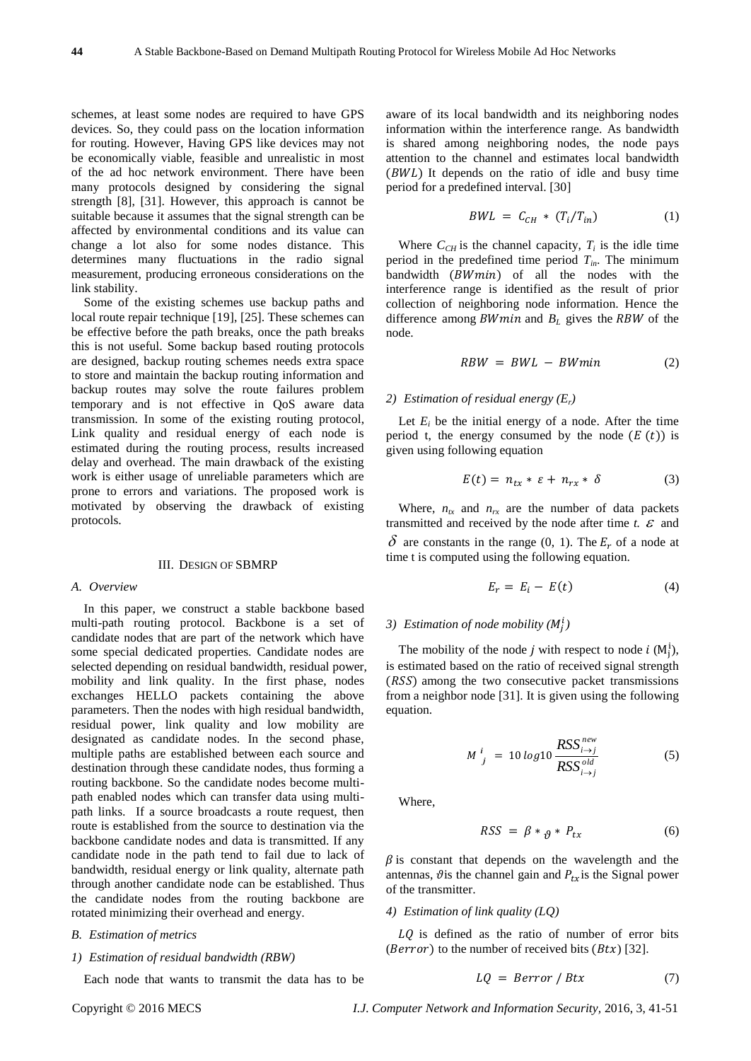schemes, at least some nodes are required to have GPS devices. So, they could pass on the location information for routing. However, Having GPS like devices may not be economically viable, feasible and unrealistic in most of the ad hoc network environment. There have been many protocols designed by considering the signal strength [8], [31]. However, this approach is cannot be suitable because it assumes that the signal strength can be affected by environmental conditions and its value can change a lot also for some nodes distance. This determines many fluctuations in the radio signal measurement, producing erroneous considerations on the link stability.

Some of the existing schemes use backup paths and local route repair technique [19], [25]. These schemes can be effective before the path breaks, once the path breaks this is not useful. Some backup based routing protocols are designed, backup routing schemes needs extra space to store and maintain the backup routing information and backup routes may solve the route failures problem temporary and is not effective in QoS aware data transmission. In some of the existing routing protocol, Link quality and residual energy of each node is estimated during the routing process, results increased delay and overhead. The main drawback of the existing work is either usage of unreliable parameters which are prone to errors and variations. The proposed work is motivated by observing the drawback of existing protocols.

### III. DESIGN OF SBMRP

#### *A. Overview*

In this paper, we construct a stable backbone based multi-path routing protocol. Backbone is a set of candidate nodes that are part of the network which have some special dedicated properties. Candidate nodes are selected depending on residual bandwidth, residual power, mobility and link quality. In the first phase, nodes exchanges HELLO packets containing the above parameters. Then the nodes with high residual bandwidth, residual power, link quality and low mobility are designated as candidate nodes. In the second phase, multiple paths are established between each source and destination through these candidate nodes, thus forming a routing backbone. So the candidate nodes become multipath enabled nodes which can transfer data using multipath links. If a source broadcasts a route request, then route is established from the source to destination via the backbone candidate nodes and data is transmitted. If any candidate node in the path tend to fail due to lack of bandwidth, residual energy or link quality, alternate path through another candidate node can be established. Thus the candidate nodes from the routing backbone are rotated minimizing their overhead and energy.

### *B. Estimation of metrics*

#### *1) Estimation of residual bandwidth (RBW)*

Each node that wants to transmit the data has to be

aware of its local bandwidth and its neighboring nodes information within the interference range. As bandwidth is shared among neighboring nodes, the node pays attention to the channel and estimates local bandwidth  $(BWL)$  It depends on the ratio of idle and busy time period for a predefined interval. [30]

$$
BWL = C_{CH} * (T_i/T_{in}) \tag{1}
$$

Where  $C_{CH}$  is the channel capacity,  $T_i$  is the idle time period in the predefined time period  $T_{in}$ . The minimum bandwidth  $(BWmin)$  of all the nodes with the interference range is identified as the result of prior collection of neighboring node information. Hence the difference among  $BWmin$  and  $B_L$  gives the  $RBW$  of the node.

$$
RBW = BWL - BWmin \qquad (2)
$$

# *2) Estimation of residual energy (Er)*

Let  $E_i$  be the initial energy of a node. After the time period t, the energy consumed by the node  $(E(t))$  is given using following equation

$$
E(t) = n_{tx} * \varepsilon + n_{rx} * \delta \tag{3}
$$

Where,  $n_{tx}$  and  $n_{rx}$  are the number of data packets transmitted and received by the node after time  $t$ .  $\epsilon$  and  $\delta$  are constants in the range (0, 1). The  $E_r$  of a node at time t is computed using the following equation.

$$
E_r = E_i - E(t) \tag{4}
$$

# 3) Estimation of node mobility  $(M_i^i)$

The mobility of the node j with respect to node i  $(M_i^i)$ , is estimated based on the ratio of received signal strength  $(RSS)$  among the two consecutive packet transmissions from a neighbor node [31]. It is given using the following equation.

$$
M^{i}_{j} = 10 \log 10 \frac{RSS^{new}_{i \to j}}{RSS^{old}_{i \to j}}
$$
 (5)

Where,

$$
RSS = \beta *_{\theta} * P_{tx} \tag{6}
$$

 $\beta$  is constant that depends on the wavelength and the antennas,  $\vartheta$  is the channel gain and  $P_{tx}$  is the Signal power of the transmitter.

#### *4) Estimation of link quality (LQ)*

 $LQ$  is defined as the ratio of number of error bits (*Berror*) to the number of received bits ( $Btx$ ) [32].

$$
LQ = Berror / Btx \tag{7}
$$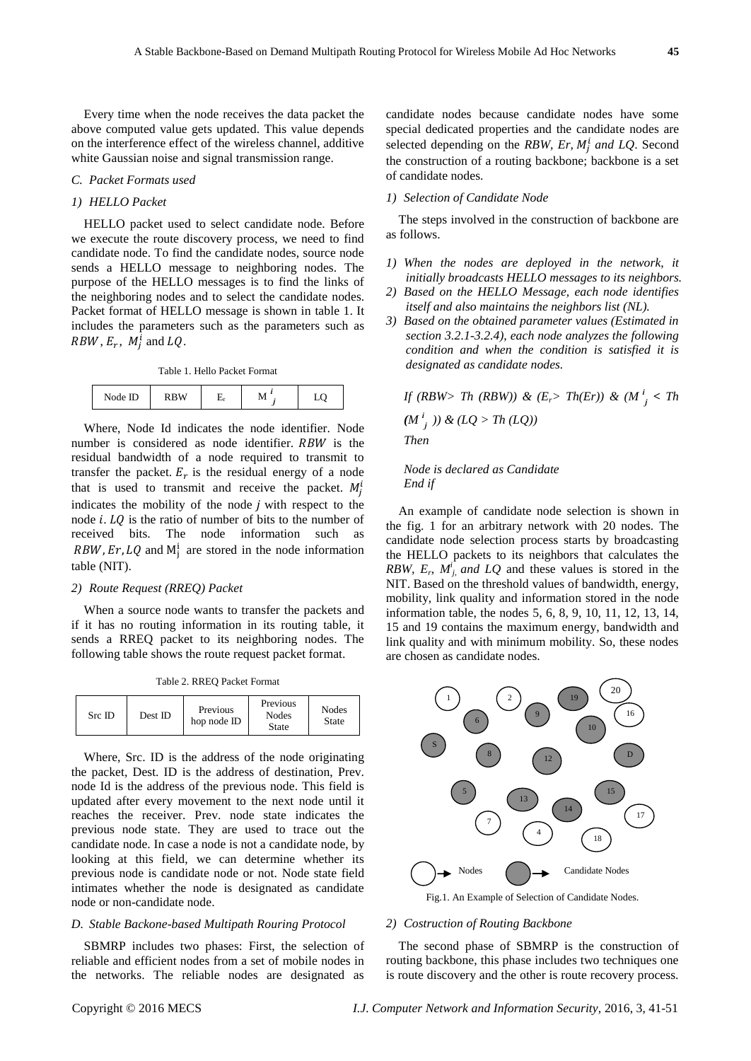Every time when the node receives the data packet the above computed value gets updated. This value depends on the interference effect of the wireless channel, additive white Gaussian noise and signal transmission range.

# *C. Packet Formats used*

#### *1) HELLO Packet*

HELLO packet used to select candidate node. Before we execute the route discovery process, we need to find candidate node. To find the candidate nodes, source node sends a HELLO message to neighboring nodes. The purpose of the HELLO messages is to find the links of the neighboring nodes and to select the candidate nodes. Packet format of HELLO message is shown in table 1. It includes the parameters such as the parameters such as  $RBW, E_r, M_i^i$  and  $LQ$ .

Table 1. Hello Packet Format

| ID<br>Node | $R$ R W<br>. | است |  | – |
|------------|--------------|-----|--|---|
|------------|--------------|-----|--|---|

Where, Node Id indicates the node identifier. Node number is considered as node identifier. RBW is the residual bandwidth of a node required to transmit to transfer the packet.  $E_r$  is the residual energy of a node that is used to transmit and receive the packet.  $M_i^i$ indicates the mobility of the node  $j$  with respect to the node  $i$ .  $LQ$  is the ratio of number of bits to the number of received bits. The node information such as RBW, Er, LQ and  $M_i^i$  are stored in the node information table (NIT).

#### *2) Route Request (RREQ) Packet*

When a source node wants to transfer the packets and if it has no routing information in its routing table, it sends a RREQ packet to its neighboring nodes. The following table shows the route request packet format.

Table 2. RREQ Packet Format

| Previous<br><b>Nodes</b><br>Previous<br>Src ID<br>Dest ID<br>Nodes<br>hop node ID<br>State<br>State |  |  |  |  |  |
|-----------------------------------------------------------------------------------------------------|--|--|--|--|--|
|-----------------------------------------------------------------------------------------------------|--|--|--|--|--|

Where, Src. ID is the address of the node originating the packet, Dest. ID is the address of destination, Prev. node Id is the address of the previous node. This field is updated after every movement to the next node until it reaches the receiver. Prev. node state indicates the previous node state. They are used to trace out the candidate node. In case a node is not a candidate node, by looking at this field, we can determine whether its previous node is candidate node or not. Node state field intimates whether the node is designated as candidate node or non-candidate node.

#### *D. Stable Backone-based Multipath Rouring Protocol*

SBMRP includes two phases: First, the selection of reliable and efficient nodes from a set of mobile nodes in the networks. The reliable nodes are designated as candidate nodes because candidate nodes have some special dedicated properties and the candidate nodes are selected depending on the *RBW, Er, M<sub>i</sub>* and *LQ*. Second the construction of a routing backbone; backbone is a set of candidate nodes.

#### *1) Selection of Candidate Node*

The steps involved in the construction of backbone are as follows.

- *1) When the nodes are deployed in the network, it initially broadcasts HELLO messages to its neighbors.*
- *2) Based on the HELLO Message, each node identifies itself and also maintains the neighbors list (NL).*
- *3) Based on the obtained parameter values (Estimated in section 3.2.1-3.2.4), each node analyzes the following condition and when the condition is satisfied it is designated as candidate nodes.*

*If* (RBW> Th (RBW)) & (E<sub>r</sub>> Th(Er)) & (M<sup> $i$ </sup><sub>j</sub> < Th  $(M^{i}_{j})$ ) &  $(LQ > Th (LQ))$ *Then* 

#### *Node is declared as Candidate End if*

An example of candidate node selection is shown in the fig. 1 for an arbitrary network with 20 nodes. The candidate node selection process starts by broadcasting the HELLO packets to its neighbors that calculates the *RBW, E<sub>p</sub>*,  $M^i$ *j, and LQ* and these values is stored in the NIT. Based on the threshold values of bandwidth, energy, mobility, link quality and information stored in the node information table, the nodes 5, 6, 8, 9, 10, 11, 12, 13, 14, 15 and 19 contains the maximum energy, bandwidth and link quality and with minimum mobility. So, these nodes are chosen as candidate nodes.



Fig.1. An Example of Selection of Candidate Nodes.

#### *2) Costruction of Routing Backbone*

The second phase of SBMRP is the construction of routing backbone, this phase includes two techniques one is route discovery and the other is route recovery process.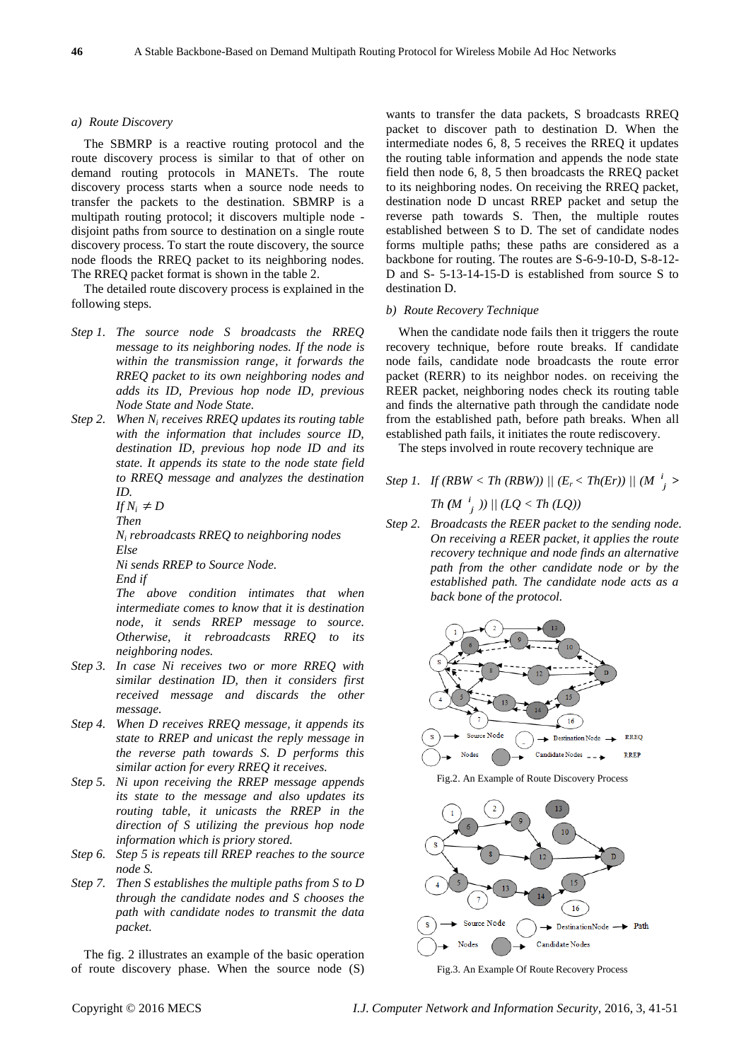#### *a) Route Discovery*

The SBMRP is a reactive routing protocol and the route discovery process is similar to that of other on demand routing protocols in MANETs. The route discovery process starts when a source node needs to transfer the packets to the destination. SBMRP is a multipath routing protocol; it discovers multiple node disjoint paths from source to destination on a single route discovery process. To start the route discovery, the source node floods the RREQ packet to its neighboring nodes. The RREQ packet format is shown in the table 2.

The detailed route discovery process is explained in the following steps.

- *Step 1. The source node S broadcasts the RREQ message to its neighboring nodes. If the node is within the transmission range, it forwards the RREQ packet to its own neighboring nodes and adds its ID, Previous hop node ID, previous Node State and Node State.*
- *Step 2. When N<sup>i</sup> receives RREQ updates its routing table with the information that includes source ID, destination ID, previous hop node ID and its state. It appends its state to the node state field to RREQ message and analyzes the destination ID.*

$$
If N_i \neq D
$$

*Then*

*N<sup>i</sup> rebroadcasts RREQ to neighboring nodes Else* 

*Ni sends RREP to Source Node.*

*End if* 

*The above condition intimates that when intermediate comes to know that it is destination node, it sends RREP message to source. Otherwise, it rebroadcasts RREQ to its neighboring nodes.*

- *Step 3. In case Ni receives two or more RREQ with similar destination ID, then it considers first received message and discards the other message.*
- *Step 4. When D receives RREQ message, it appends its state to RREP and unicast the reply message in the reverse path towards S. D performs this similar action for every RREQ it receives.*
- *Step 5. Ni upon receiving the RREP message appends its state to the message and also updates its routing table, it unicasts the RREP in the direction of S utilizing the previous hop node information which is priory stored.*
- *Step 6. Step 5 is repeats till RREP reaches to the source node S.*
- *Step 7. Then S establishes the multiple paths from S to D through the candidate nodes and S chooses the path with candidate nodes to transmit the data packet.*

The fig. 2 illustrates an example of the basic operation of route discovery phase. When the source node (S) wants to transfer the data packets, S broadcasts RREQ packet to discover path to destination D. When the intermediate nodes 6, 8, 5 receives the RREQ it updates the routing table information and appends the node state field then node 6, 8, 5 then broadcasts the RREQ packet to its neighboring nodes. On receiving the RREQ packet, destination node D uncast RREP packet and setup the reverse path towards S. Then, the multiple routes established between S to D. The set of candidate nodes forms multiple paths; these paths are considered as a backbone for routing. The routes are S-6-9-10-D, S-8-12- D and S- 5-13-14-15-D is established from source S to destination D.

#### *b) Route Recovery Technique*

When the candidate node fails then it triggers the route recovery technique, before route breaks. If candidate node fails, candidate node broadcasts the route error packet (RERR) to its neighbor nodes. on receiving the REER packet, neighboring nodes check its routing table and finds the alternative path through the candidate node from the established path, before path breaks. When all established path fails, it initiates the route rediscovery.

The steps involved in route recovery technique are

# *Step 1. If (RBW < Th (RBW))* ||  $(E_r < Th(Er))$  ||  $(M \frac{i}{j} >$

 $Th(M \, \frac{i}{j} \, )$ ) || ( $LQ < Th(LQ)$ )

*Step 2. Broadcasts the REER packet to the sending node. On receiving a REER packet, it applies the route recovery technique and node finds an alternative path from the other candidate node or by the established path. The candidate node acts as a back bone of the protocol.*



Fig.2. An Example of Route Discovery Process



Fig.3. An Example Of Route Recovery Process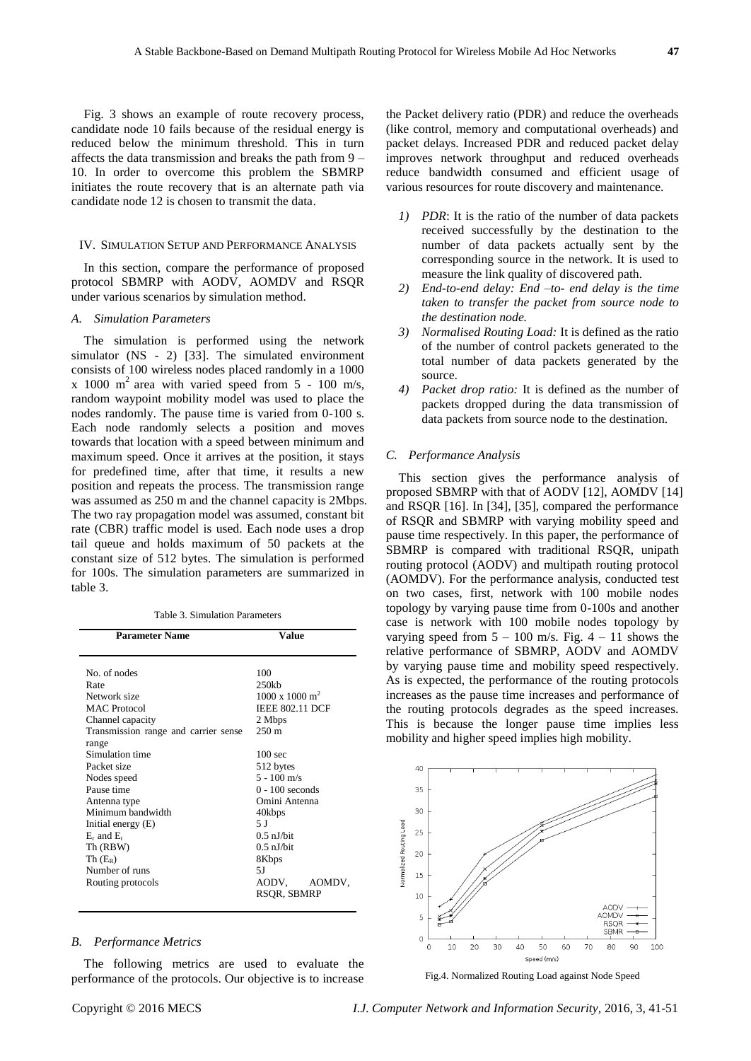Fig. 3 shows an example of route recovery process, candidate node 10 fails because of the residual energy is reduced below the minimum threshold. This in turn affects the data transmission and breaks the path from 9 – 10. In order to overcome this problem the SBMRP initiates the route recovery that is an alternate path via candidate node 12 is chosen to transmit the data.

# IV. SIMULATION SETUP AND PERFORMANCE ANALYSIS

In this section, compare the performance of proposed protocol SBMRP with AODV, AOMDV and RSQR under various scenarios by simulation method.

#### *A. Simulation Parameters*

The simulation is performed using the network simulator (NS - 2) [33]. The simulated environment consists of 100 wireless nodes placed randomly in a 1000 x 1000 m<sup>2</sup> area with varied speed from  $5 - 100$  m/s, random waypoint mobility model was used to place the nodes randomly. The pause time is varied from 0-100 s. Each node randomly selects a position and moves towards that location with a speed between minimum and maximum speed. Once it arrives at the position, it stays for predefined time, after that time, it results a new position and repeats the process. The transmission range was assumed as 250 m and the channel capacity is 2Mbps. The two ray propagation model was assumed, constant bit rate (CBR) traffic model is used. Each node uses a drop tail queue and holds maximum of 50 packets at the constant size of 512 bytes. The simulation is performed for 100s. The simulation parameters are summarized in table 3.

| і агашсісі ташс                      | r aluc                         |  |
|--------------------------------------|--------------------------------|--|
|                                      |                                |  |
| No. of nodes                         | 100                            |  |
| Rate                                 | $250$ kb                       |  |
| Network size                         | $1000 \times 1000 \text{ m}^2$ |  |
| <b>MAC</b> Protocol                  | <b>IEEE 802.11 DCF</b>         |  |
| Channel capacity                     | 2 Mbps                         |  |
| Transmission range and carrier sense | $250 \text{ m}$                |  |
| range                                |                                |  |
| Simulation time                      | 100 <sub>sec</sub>             |  |
| Packet size                          | 512 bytes                      |  |
| Nodes speed                          | $5 - 100$ m/s                  |  |
| Pause time                           | $0 - 100$ seconds              |  |
| Antenna type                         | Omini Antenna                  |  |
| Minimum bandwidth                    | 40kbps                         |  |
| Initial energy (E)                   | 5 J                            |  |
| $E_r$ and $E_t$                      | $0.5$ nJ/bit                   |  |
| Th (RBW)                             | $0.5$ nJ/bit                   |  |
| $Th(E_R)$                            | 8Kbps                          |  |
| Number of runs                       | 5J                             |  |
| Routing protocols                    | AODV.<br>AOMDV,                |  |
|                                      | RSQR, SBMRP                    |  |
|                                      |                                |  |

#### *B. Performance Metrics*

The following metrics are used to evaluate the performance of the protocols. Our objective is to increase the Packet delivery ratio (PDR) and reduce the overheads (like control, memory and computational overheads) and packet delays. Increased PDR and reduced packet delay improves network throughput and reduced overheads reduce bandwidth consumed and efficient usage of various resources for route discovery and maintenance.

- *1) PDR*: It is the ratio of the number of data packets received successfully by the destination to the number of data packets actually sent by the corresponding source in the network. It is used to measure the link quality of discovered path.
- *2) End-to-end delay: End –to- end delay is the time taken to transfer the packet from source node to the destination node.*
- *3) Normalised Routing Load:* It is defined as the ratio of the number of control packets generated to the total number of data packets generated by the source.
- *4) Packet drop ratio:* It is defined as the number of packets dropped during the data transmission of data packets from source node to the destination.

#### *C. Performance Analysis*

This section gives the performance analysis of proposed SBMRP with that of AODV [12], AOMDV [14] and RSQR [16]. In [34], [35], compared the performance of RSQR and SBMRP with varying mobility speed and pause time respectively. In this paper, the performance of SBMRP is compared with traditional RSQR, unipath routing protocol (AODV) and multipath routing protocol (AOMDV). For the performance analysis, conducted test on two cases, first, network with 100 mobile nodes topology by varying pause time from 0-100s and another case is network with 100 mobile nodes topology by varying speed from  $5 - 100$  m/s. Fig.  $4 - 11$  shows the relative performance of SBMRP, AODV and AOMDV by varying pause time and mobility speed respectively. As is expected, the performance of the routing protocols increases as the pause time increases and performance of the routing protocols degrades as the speed increases. This is because the longer pause time implies less mobility and higher speed implies high mobility.



Fig.4. Normalized Routing Load against Node Speed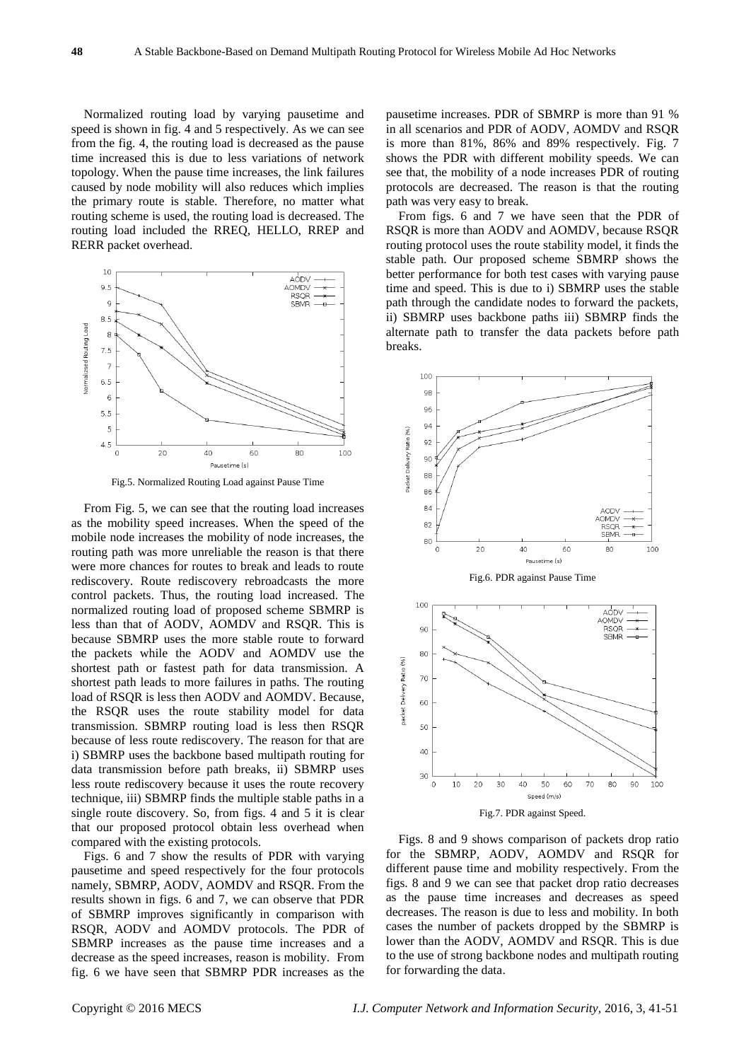Normalized routing load by varying pausetime and speed is shown in fig. 4 and 5 respectively. As we can see from the fig. 4, the routing load is decreased as the pause time increased this is due to less variations of network topology. When the pause time increases, the link failures caused by node mobility will also reduces which implies the primary route is stable. Therefore, no matter what routing scheme is used, the routing load is decreased. The routing load included the RREQ, HELLO, RREP and RERR packet overhead.



Fig.5. Normalized Routing Load against Pause Time

From Fig. 5, we can see that the routing load increases as the mobility speed increases. When the speed of the mobile node increases the mobility of node increases, the routing path was more unreliable the reason is that there were more chances for routes to break and leads to route rediscovery. Route rediscovery rebroadcasts the more control packets. Thus, the routing load increased. The normalized routing load of proposed scheme SBMRP is less than that of AODV, AOMDV and RSQR. This is because SBMRP uses the more stable route to forward the packets while the AODV and AOMDV use the shortest path or fastest path for data transmission. A shortest path leads to more failures in paths. The routing load of RSQR is less then AODV and AOMDV. Because, the RSQR uses the route stability model for data transmission. SBMRP routing load is less then RSQR because of less route rediscovery. The reason for that are i) SBMRP uses the backbone based multipath routing for data transmission before path breaks, ii) SBMRP uses less route rediscovery because it uses the route recovery technique, iii) SBMRP finds the multiple stable paths in a single route discovery. So, from figs. 4 and 5 it is clear that our proposed protocol obtain less overhead when compared with the existing protocols.

Figs. 6 and 7 show the results of PDR with varying pausetime and speed respectively for the four protocols namely, SBMRP, AODV, AOMDV and RSQR. From the results shown in figs. 6 and 7, we can observe that PDR of SBMRP improves significantly in comparison with RSQR, AODV and AOMDV protocols. The PDR of SBMRP increases as the pause time increases and a decrease as the speed increases, reason is mobility. From fig. 6 we have seen that SBMRP PDR increases as the pausetime increases. PDR of SBMRP is more than 91 % in all scenarios and PDR of AODV, AOMDV and RSQR is more than 81%, 86% and 89% respectively. Fig. 7 shows the PDR with different mobility speeds. We can see that, the mobility of a node increases PDR of routing protocols are decreased. The reason is that the routing path was very easy to break.

From figs. 6 and 7 we have seen that the PDR of RSQR is more than AODV and AOMDV, because RSQR routing protocol uses the route stability model, it finds the stable path. Our proposed scheme SBMRP shows the better performance for both test cases with varying pause time and speed. This is due to i) SBMRP uses the stable path through the candidate nodes to forward the packets, ii) SBMRP uses backbone paths iii) SBMRP finds the alternate path to transfer the data packets before path breaks.



Figs. 8 and 9 shows comparison of packets drop ratio for the SBMRP, AODV, AOMDV and RSQR for different pause time and mobility respectively. From the figs. 8 and 9 we can see that packet drop ratio decreases as the pause time increases and decreases as speed decreases. The reason is due to less and mobility. In both cases the number of packets dropped by the SBMRP is lower than the AODV, AOMDV and RSQR. This is due to the use of strong backbone nodes and multipath routing for forwarding the data.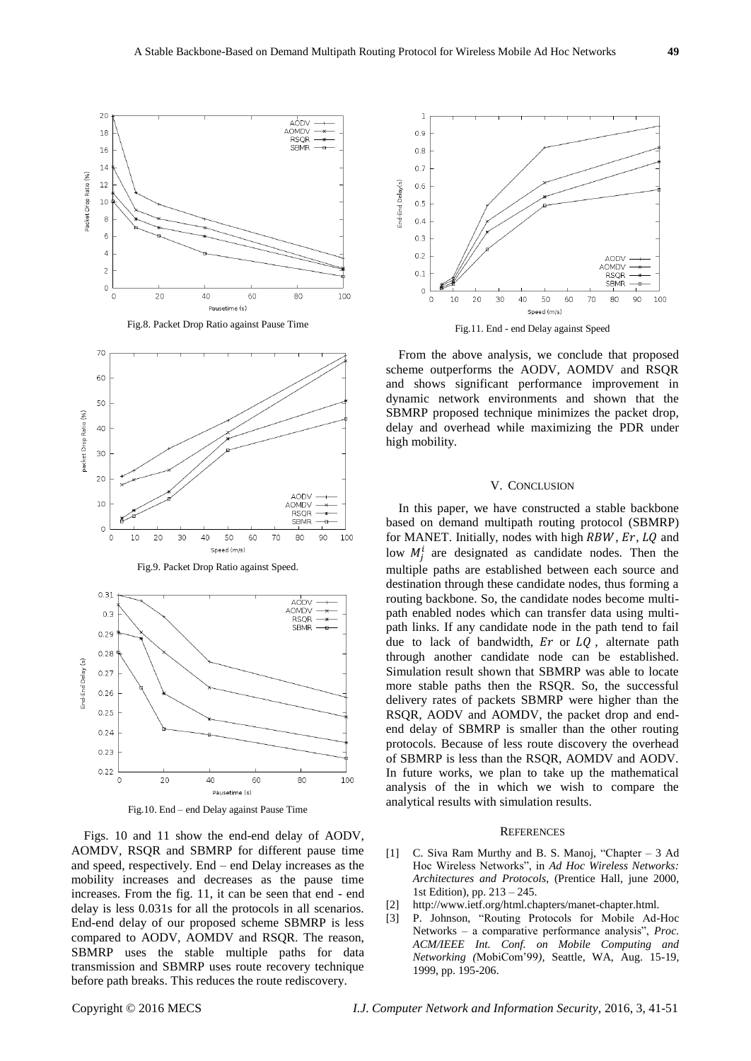







Fig.10. End – end Delay against Pause Time

Figs. 10 and 11 show the end-end delay of AODV, AOMDV, RSQR and SBMRP for different pause time and speed, respectively. End – end Delay increases as the mobility increases and decreases as the pause time increases. From the fig. 11, it can be seen that end - end delay is less 0.031s for all the protocols in all scenarios. End-end delay of our proposed scheme SBMRP is less compared to AODV, AOMDV and RSQR. The reason, SBMRP uses the stable multiple paths for data transmission and SBMRP uses route recovery technique before path breaks. This reduces the route rediscovery.



Fig.11. End - end Delay against Speed

From the above analysis, we conclude that proposed scheme outperforms the AODV, AOMDV and RSQR and shows significant performance improvement in dynamic network environments and shown that the SBMRP proposed technique minimizes the packet drop, delay and overhead while maximizing the PDR under high mobility.

#### V. CONCLUSION

In this paper, we have constructed a stable backbone based on demand multipath routing protocol (SBMRP) for MANET. Initially, nodes with high  $RBW$ ,  $Er$ ,  $LQ$  and low  $M_i^i$  are designated as candidate nodes. Then the multiple paths are established between each source and destination through these candidate nodes, thus forming a routing backbone. So, the candidate nodes become multipath enabled nodes which can transfer data using multipath links. If any candidate node in the path tend to fail due to lack of bandwidth,  $Er$  or  $LQ$ , alternate path through another candidate node can be established. Simulation result shown that SBMRP was able to locate more stable paths then the RSQR. So, the successful delivery rates of packets SBMRP were higher than the RSQR, AODV and AOMDV, the packet drop and endend delay of SBMRP is smaller than the other routing protocols. Because of less route discovery the overhead of SBMRP is less than the RSQR, AOMDV and AODV. In future works, we plan to take up the mathematical analysis of the in which we wish to compare the analytical results with simulation results.

#### **REFERENCES**

- [1] C. Siva Ram Murthy and B. S. Manoj, "Chapter  $-3$  Ad Hoc Wireless Networks", in *Ad Hoc Wireless Networks: Architectures and Protocols*, (Prentice Hall, june 2000, 1st Edition), pp. 213 – 245.
- [2] http://www.ietf.org/html.chapters/manet-chapter.html.
- [3] P. Johnson, "Routing Protocols for Mobile Ad-Hoc Networks – a comparative performance analysis", *Proc. ACM/IEEE Int. Conf. on Mobile Computing and Networking (*MobiCom'99*),* Seattle, WA, Aug. 15-19, 1999, pp. 195-206.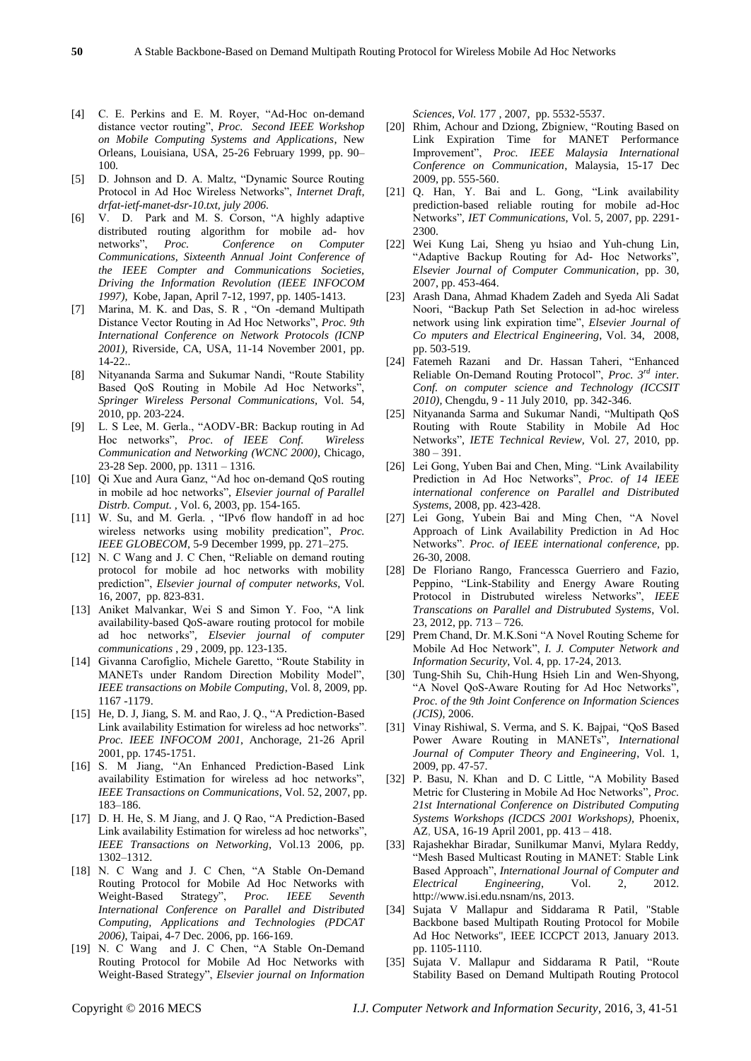- 
- [4] C. E. Perkins and E. M. Royer, "Ad-Hoc on-demand distance vector routing", Proc. Second IEEE Workshop *on Mobile Computing Systems and Applications*, New Orleans, Louisiana, USA, 25-26 February 1999, pp. 90– 100.
- [5] D. Johnson and D. A. Maltz, "Dynamic Source Routing Protocol in Ad Hoc Wireless Networks", *Internet Draft*, *drfat-ietf-manet-dsr-10.txt, july 2006.*
- [6] V. D. Park and M. S. Corson, "A highly adaptive distributed routing algorithm for mobile ad- hov networks‖, *Proc. Conference on Computer Communications, Sixteenth Annual Joint Conference of the IEEE Compter and Communications Societies, Driving the Information Revolution (IEEE INFOCOM 1997),* Kobe, Japan, April 7-12, 1997, pp. 1405-1413.
- [7] Marina, M. K. and Das, S. R., "On -demand Multipath Distance Vector Routing in Ad Hoc Networks", *Proc. 9th International Conference on Network Protocols (ICNP 2001),* Riverside, CA, USA, 11-14 November 2001, pp.  $14 - 22$ ...
- [8] Nityananda Sarma and Sukumar Nandi, "Route Stability Based QoS Routing in Mobile Ad Hoc Networks" *Springer Wireless Personal Communications,* Vol. 54, 2010, pp. 203-224.
- [9] L. S Lee, M. Gerla., "AODV-BR: Backup routing in Ad Hoc networks‖, *Proc. of IEEE Conf. Wireless Communication and Networking (WCNC 2000)*, Chicago, 23-28 Sep. 2000, pp. 1311 – 1316.
- [10] Qi Xue and Aura Ganz, "Ad hoc on-demand QoS routing in mobile ad hoc networks", *Elsevier journal of Parallel Distrb. Comput. ,* Vol. 6, 2003, pp. 154-165.
- [11] W. Su, and M. Gerla., "IPv6 flow handoff in ad hoc wireless networks using mobility predication", Proc. *IEEE GLOBECOM*, 5-9 December 1999, pp. 271–275.
- [12] N. C Wang and J. C Chen, "Reliable on demand routing protocol for mobile ad hoc networks with mobility prediction", *Elsevier journal of computer networks*, Vol. 16, 2007, pp. 823-831.
- [13] Aniket Malvankar, Wei S and Simon Y. Foo, "A link availability-based QoS-aware routing protocol for mobile ad hoc networks", Elsevier journal of computer *communications* , 29 , 2009, pp. 123-135.
- [14] Givanna Carofiglio, Michele Garetto, "Route Stability in MANETs under Random Direction Mobility Model", *IEEE transactions on Mobile Computing*, Vol. 8, 2009, pp. 1167 -1179.
- [15] He, D. J, Jiang, S. M. and Rao, J. Q., "A Prediction-Based Link availability Estimation for wireless ad hoc networks". *Proc. IEEE INFOCOM 2001*, Anchorage, 21-26 April 2001, pp. 1745-1751.
- [16] S. M Jiang, "An Enhanced Prediction-Based Link availability Estimation for wireless ad hoc networks", *IEEE Transactions on Communications*, Vol. 52, 2007, pp. 183–186.
- [17] D. H. He, S. M Jiang, and J. Q Rao, "A Prediction-Based Link availability Estimation for wireless ad hoc networks", *IEEE Transactions on Networking*, Vol.13 2006, pp. 1302–1312.
- [18] N. C Wang and J. C Chen, "A Stable On-Demand Routing Protocol for Mobile Ad Hoc Networks with Weight-Based Strategy‖, *Proc. IEEE Seventh International Conference on Parallel and Distributed Computing, Applications and Technologies (PDCAT 2006)*, Taipai, 4-7 Dec. 2006, pp. 166-169.
- [19] N. C Wang and J. C Chen, "A Stable On-Demand Routing Protocol for Mobile Ad Hoc Networks with Weight-Based Strategy‖, *Elsevier journal on Information*

*Sciences, Vol.* 177 , 2007, pp. 5532-5537.

- [20] Rhim, Achour and Dziong, Zbigniew, "Routing Based on Link Expiration Time for MANET Performance Improvement‖, *Proc. IEEE Malaysia International Conference on Communication*, Malaysia, 15-17 Dec 2009, pp. 555-560.
- [21] Q. Han, Y. Bai and L. Gong, "Link availability prediction-based reliable routing for mobile ad-Hoc Networks‖, *IET Communications*, Vol. 5, 2007, pp. 2291- 2300.
- [22] Wei Kung Lai, Sheng yu hsiao and Yuh-chung Lin, "Adaptive Backup Routing for Ad- Hoc Networks", *Elsevier Journal of Computer Communication*, pp. 30, 2007, pp. 453-464.
- [23] Arash Dana, Ahmad Khadem Zadeh and Syeda Ali Sadat Noori, "Backup Path Set Selection in ad-hoc wireless network using link expiration time", *Elsevier Journal of Co mputers and Electrical Engineering*, Vol. 34, 2008, pp. 503-519.
- [24] Fatemeh Razani and Dr. Hassan Taheri, "Enhanced Reliable On-Demand Routing Protocol", *Proc.* 3<sup>*rd</sup> inter.*</sup> *Conf. on computer science and Technology (ICCSIT 2010),* Chengdu, 9 - 11 July 2010, pp. 342-346.
- [25] Nityananda Sarma and Sukumar Nandi, "Multipath OoS Routing with Route Stability in Mobile Ad Hoc Networks‖, *IETE Technical Review,* Vol. 27, 2010, pp.  $380 - 391.$
- [26] Lei Gong, Yuben Bai and Chen, Ming. "Link Availability Prediction in Ad Hoc Networks", Proc. of 14 IEEE *international conference on Parallel and Distributed Systems*, 2008, pp. 423-428.
- [27] Lei Gong, Yubein Bai and Ming Chen, "A Novel Approach of Link Availability Prediction in Ad Hoc Networks‖. *Proc. of IEEE international conference,* pp. 26-30, 2008.
- [28] De Floriano Rango, Francessca Guerriero and Fazio, Peppino, "Link-Stability and Energy Aware Routing Protocol in Distrubuted wireless Networks", *IEEE Transcations on Parallel and Distrubuted Systems*, Vol. 23, 2012, pp. 713 – 726.
- [29] Prem Chand, Dr. M.K.Soni "A Novel Routing Scheme for Mobile Ad Hoc Network", *I. J. Computer Network and Information Security*, Vol. 4, pp. 17-24, 2013.
- [30] Tung-Shih Su, Chih-Hung Hsieh Lin and Wen-Shyong, "A Novel QoS-Aware Routing for Ad Hoc Networks", *Proc. of the 9th Joint Conference on Information Sciences (JCIS),* 2006.
- [31] Vinay Rishiwal, S. Verma, and S. K. Bajpai, "QoS Based Power Aware Routing in MANETs", *International Journal of Computer Theory and Engineering*, Vol. 1, 2009, pp. 47-57.
- [32] P. Basu, N. Khan and D. C Little, "A Mobility Based Metric for Clustering in Mobile Ad Hoc Networks", Proc. *21st International Conference on Distributed Computing Systems Workshops (ICDCS 2001 Workshops),* Phoenix, AZ, USA, 16-19 April 2001, pp. 413 – 418.
- [33] Rajashekhar Biradar, Sunilkumar Manvi, Mylara Reddy, "Mesh Based Multicast Routing in MANET: Stable Link Based Approach‖, *International Journal of Computer and Electrical Engineering*, Vol. 2, 2012. http://www.isi.edu.nsnam/ns, 2013.
- [34] Sujata V Mallapur and Siddarama R Patil, "Stable Backbone based Multipath Routing Protocol for Mobile Ad Hoc Networks", IEEE ICCPCT 2013, January 2013. pp. 1105-1110.
- [35] Sujata V. Mallapur and Siddarama R Patil, "Route Stability Based on Demand Multipath Routing Protocol